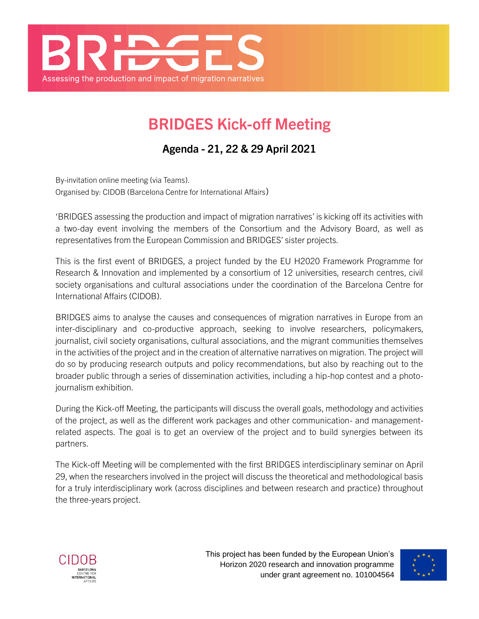

## **BRIDGES Kick-off Meeting**

**Agenda - 21, 22 & 29 April 2021**

By-invitation online meeting (via Teams). Organised by: CIDOB (Barcelona Centre for International Affairs)

'BRIDGES assessing the production and impact of migration narratives' is kicking off its activities with a two-day event involving the members of the Consortium and the Advisory Board, as well as representatives from the European Commission and BRIDGES' sister projects.

This is the first event of BRIDGES, a project funded by the EU H2020 Framework Programme for Research & Innovation and implemented by a consortium of 12 universities, research centres, civil society organisations and cultural associations under the coordination of the Barcelona Centre for International Affairs (CIDOB).

BRIDGES aims to analyse the causes and consequences of migration narratives in Europe from an inter-disciplinary and co-productive approach, seeking to involve researchers, policymakers, journalist, civil society organisations, cultural associations, and the migrant communities themselves in the activities of the project and in the creation of alternative narratives on migration. The project will do so by producing research outputs and policy recommendations, but also by reaching out to the broader public through a series of dissemination activities, including a hip-hop contest and a photojournalism exhibition.

During the Kick-off Meeting, the participants will discuss the overall goals, methodology and activities of the project, as well as the different work packages and other communication- and managementrelated aspects. The goal is to get an overview of the project and to build synergies between its partners.

The Kick-off Meeting will be complemented with the first BRIDGES interdisciplinary seminar on April 29, when the researchers involved in the project will discuss the theoretical and methodological basis for a truly interdisciplinary work (across disciplines and between research and practice) throughout the three-years project.



This project has been funded by the European Union's Horizon 2020 research and innovation programme under grant agreement no. 101004564

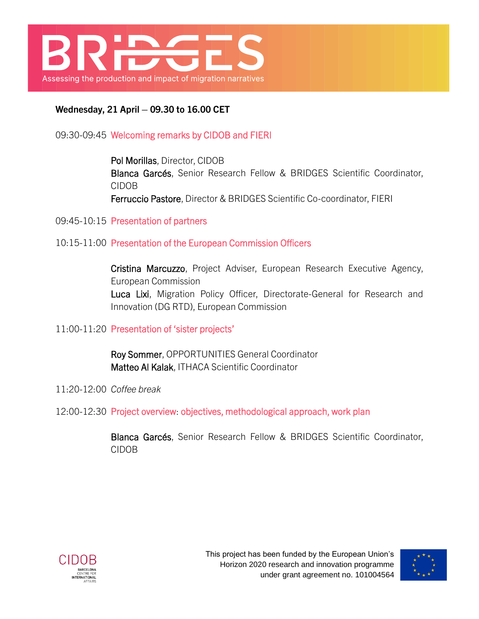

**Wednesday, 21 April – 09.30 to 16.00 CET**

09:30-09:45 Welcoming remarks by CIDOB and FIERI

Pol Morillas, Director, CIDOB Blanca Garcés, Senior Research Fellow & BRIDGES Scientific Coordinator, CIDOB Ferruccio Pastore, Director & BRIDGES Scientific Co-coordinator, FIERI

09:45-10:15 Presentation of partners

10:15-11:00 Presentation of the European Commission Officers

Cristina Marcuzzo, Project Adviser, European Research Executive Agency, European Commission Luca Lixi, Migration Policy Officer, Directorate-General for Research and Innovation (DG RTD), European Commission

11:00-11:20 Presentation of 'sister projects'

Roy Sommer, OPPORTUNITIES General Coordinator Matteo Al Kalak, ITHACA Scientific Coordinator

- 11:20-12:00 *Coffee break*
- 12:00-12:30 Project overview: objectives, methodological approach, work plan

Blanca Garcés, Senior Research Fellow & BRIDGES Scientific Coordinator, CIDOB



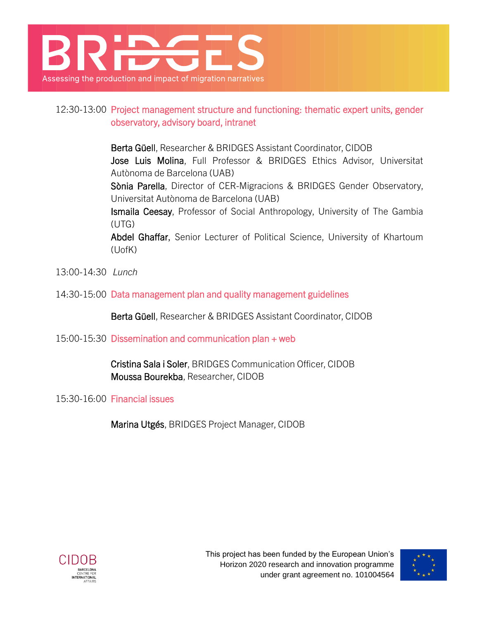

## 12:30-13:00 Project management structure and functioning: thematic expert units, gender observatory, advisory board, intranet

Berta Güell, Researcher & BRIDGES Assistant Coordinator, CIDOB Jose Luis Molina, Full Professor & BRIDGES Ethics Advisor, Universitat Autònoma de Barcelona (UAB)

Sònia Parella, Director of CER-Migracions & BRIDGES Gender Observatory, Universitat Autònoma de Barcelona (UAB)

Ismaila Ceesay, Professor of Social Anthropology, University of The Gambia (UTG)

Abdel Ghaffar, Senior Lecturer of Political Science, University of Khartoum (UofK)

- 13:00-14:30 *Lunch*
- 14:30-15:00 Data management plan and quality management guidelines

Berta Güell, Researcher & BRIDGES Assistant Coordinator, CIDOB

15:00-15:30 Dissemination and communication plan + web

Cristina Sala i Soler, BRIDGES Communication Officer, CIDOB Moussa Bourekba, Researcher, CIDOB

15:30-16:00 Financial issues

Marina Utgés, BRIDGES Project Manager, CIDOB